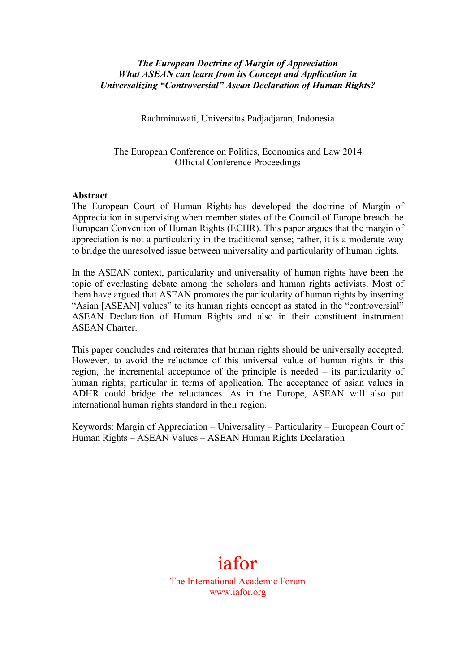## *The European Doctrine of Margin of Appreciation What ASEAN can learn from its Concept and Application in Universalizing "Controversial" Asean Declaration of Human Rights?*

Rachminawati, Universitas Padjadjaran, Indonesia

The European Conference on Politics, Economics and Law 2014 Official Conference Proceedings

### **Abstract**

The European Court of Human Rights has developed the doctrine of Margin of Appreciation in supervising when member states of the Council of Europe breach the European Convention of Human Rights (ECHR). This paper argues that the margin of appreciation is not a particularity in the traditional sense; rather, it is a moderate way to bridge the unresolved issue between universality and particularity of human rights.

In the ASEAN context, particularity and universality of human rights have been the topic of everlasting debate among the scholars and human rights activists. Most of them have argued that ASEAN promotes the particularity of human rights by inserting "Asian [ASEAN] values" to its human rights concept as stated in the "controversial" ASEAN Declaration of Human Rights and also in their constituent instrument ASEAN Charter.

This paper concludes and reiterates that human rights should be universally accepted. However, to avoid the reluctance of this universal value of human rights in this region, the incremental acceptance of the principle is needed – its particularity of human rights; particular in terms of application. The acceptance of asian values in ADHR could bridge the reluctances. As in the Europe, ASEAN will also put international human rights standard in their region.

Keywords: Margin of Appreciation – Universality – Particularity – European Court of Human Rights – ASEAN Values – ASEAN Human Rights Declaration

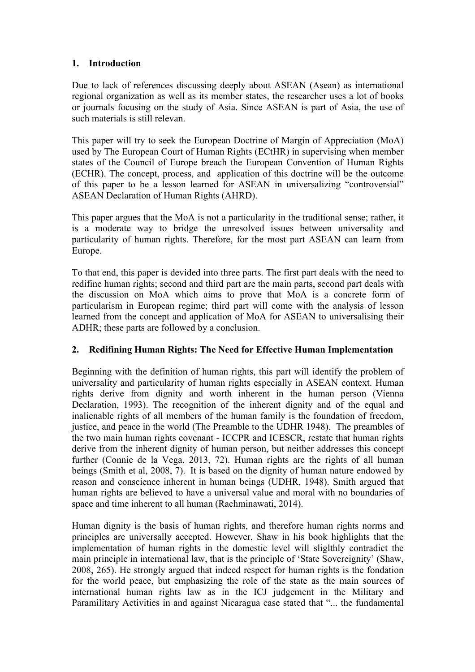# **1. Introduction**

Due to lack of references discussing deeply about ASEAN (Asean) as international regional organization as well as its member states, the researcher uses a lot of books or journals focusing on the study of Asia. Since ASEAN is part of Asia, the use of such materials is still relevan.

This paper will try to seek the European Doctrine of Margin of Appreciation (MoA) used by The European Court of Human Rights (ECtHR) in supervising when member states of the Council of Europe breach the European Convention of Human Rights (ECHR). The concept, process, and application of this doctrine will be the outcome of this paper to be a lesson learned for ASEAN in universalizing "controversial" ASEAN Declaration of Human Rights (AHRD).

This paper argues that the MoA is not a particularity in the traditional sense; rather, it is a moderate way to bridge the unresolved issues between universality and particularity of human rights. Therefore, for the most part ASEAN can learn from Europe.

To that end, this paper is devided into three parts. The first part deals with the need to redifine human rights; second and third part are the main parts, second part deals with the discussion on MoA which aims to prove that MoA is a concrete form of particularism in European regime; third part will come with the analysis of lesson learned from the concept and application of MoA for ASEAN to universalising their ADHR; these parts are followed by a conclusion.

# **2. Redifining Human Rights: The Need for Effective Human Implementation**

Beginning with the definition of human rights, this part will identify the problem of universality and particularity of human rights especially in ASEAN context. Human rights derive from dignity and worth inherent in the human person (Vienna Declaration, 1993). The recognition of the inherent dignity and of the equal and inalienable rights of all members of the human family is the foundation of freedom, justice, and peace in the world (The Preamble to the UDHR 1948). The preambles of the two main human rights covenant - ICCPR and ICESCR, restate that human rights derive from the inherent dignity of human person, but neither addresses this concept further (Connie de la Vega, 2013, 72). Human rights are the rights of all human beings (Smith et al, 2008, 7). It is based on the dignity of human nature endowed by reason and conscience inherent in human beings (UDHR, 1948). Smith argued that human rights are believed to have a universal value and moral with no boundaries of space and time inherent to all human (Rachminawati, 2014).

Human dignity is the basis of human rights, and therefore human rights norms and principles are universally accepted. However, Shaw in his book highlights that the implementation of human rights in the domestic level will sliglthly contradict the main principle in international law, that is the principle of 'State Sovereignity' (Shaw, 2008, 265). He strongly argued that indeed respect for human rights is the fondation for the world peace, but emphasizing the role of the state as the main sources of international human rights law as in the ICJ judgement in the Military and Paramilitary Activities in and against Nicaragua case stated that "... the fundamental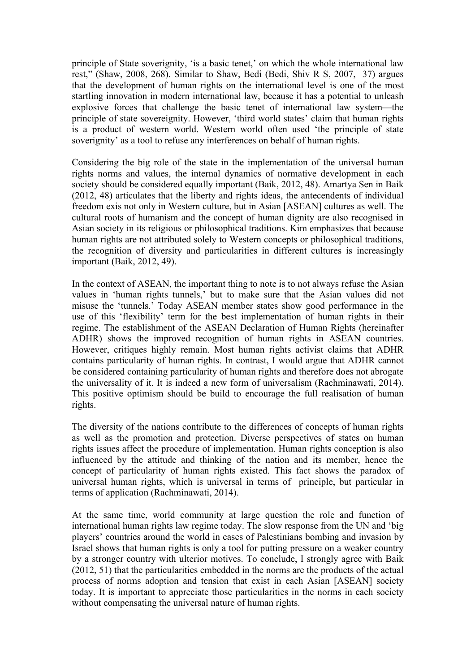principle of State soverignity, 'is a basic tenet,' on which the whole international law rest," (Shaw, 2008, 268). Similar to Shaw, Bedi (Bedi, Shiv R S, 2007, 37) argues that the development of human rights on the international level is one of the most startling innovation in modern international law, because it has a potential to unleash explosive forces that challenge the basic tenet of international law system—the principle of state sovereignity. However, 'third world states' claim that human rights is a product of western world. Western world often used 'the principle of state soverignity' as a tool to refuse any interferences on behalf of human rights.

Considering the big role of the state in the implementation of the universal human rights norms and values, the internal dynamics of normative development in each society should be considered equally important (Baik, 2012, 48). Amartya Sen in Baik (2012, 48) articulates that the liberty and rights ideas, the antecendents of individual freedom exis not only in Western culture, but in Asian [ASEAN] cultures as well. The cultural roots of humanism and the concept of human dignity are also recognised in Asian society in its religious or philosophical traditions. Kim emphasizes that because human rights are not attributed solely to Western concepts or philosophical traditions, the recognition of diversity and particularities in different cultures is increasingly important (Baik, 2012, 49).

In the context of ASEAN, the important thing to note is to not always refuse the Asian values in 'human rights tunnels,' but to make sure that the Asian values did not misuse the 'tunnels.' Today ASEAN member states show good performance in the use of this 'flexibility' term for the best implementation of human rights in their regime. The establishment of the ASEAN Declaration of Human Rights (hereinafter ADHR) shows the improved recognition of human rights in ASEAN countries. However, critiques highly remain. Most human rights activist claims that ADHR contains particularity of human rights. In contrast, I would argue that ADHR cannot be considered containing particularity of human rights and therefore does not abrogate the universality of it. It is indeed a new form of universalism (Rachminawati, 2014). This positive optimism should be build to encourage the full realisation of human rights.

The diversity of the nations contribute to the differences of concepts of human rights as well as the promotion and protection. Diverse perspectives of states on human rights issues affect the procedure of implementation. Human rights conception is also influenced by the attitude and thinking of the nation and its member, hence the concept of particularity of human rights existed. This fact shows the paradox of universal human rights, which is universal in terms of principle, but particular in terms of application (Rachminawati, 2014).

At the same time, world community at large question the role and function of international human rights law regime today. The slow response from the UN and 'big players' countries around the world in cases of Palestinians bombing and invasion by Israel shows that human rights is only a tool for putting pressure on a weaker country by a stronger country with ulterior motives. To conclude, I strongly agree with Baik (2012, 51) that the particularities embedded in the norms are the products of the actual process of norms adoption and tension that exist in each Asian [ASEAN] society today. It is important to appreciate those particularities in the norms in each society without compensating the universal nature of human rights.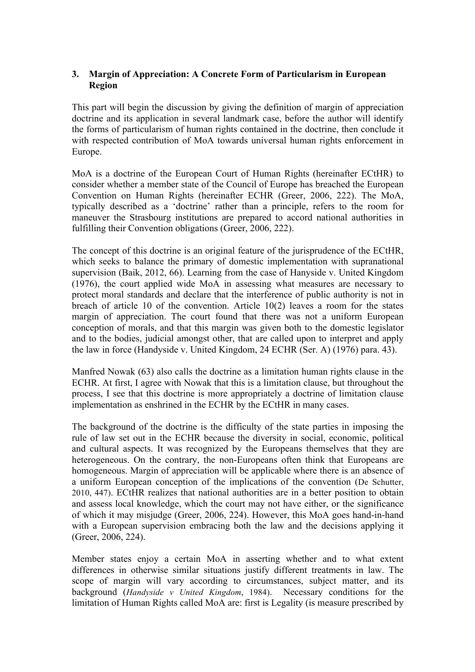## **3. Margin of Appreciation: A Concrete Form of Particularism in European Region**

This part will begin the discussion by giving the definition of margin of appreciation doctrine and its application in several landmark case, before the author will identify the forms of particularism of human rights contained in the doctrine, then conclude it with respected contribution of MoA towards universal human rights enforcement in Europe.

MoA is a doctrine of the European Court of Human Rights (hereinafter ECtHR) to consider whether a member state of the Council of Europe has breached the European Convention on Human Rights (hereinafter ECHR (Greer, 2006, 222). The MoA, typically described as a 'doctrine' rather than a principle, refers to the room for maneuver the Strasbourg institutions are prepared to accord national authorities in fulfilling their Convention obligations (Greer, 2006, 222).

The concept of this doctrine is an original feature of the jurisprudence of the ECtHR. which seeks to balance the primary of domestic implementation with supranational supervision (Baik, 2012, 66). Learning from the case of Hanyside v. United Kingdom (1976), the court applied wide MoA in assessing what measures are necessary to protect moral standards and declare that the interference of public authority is not in breach of article 10 of the convention. Article 10(2) leaves a room for the states margin of appreciation. The court found that there was not a uniform European conception of morals, and that this margin was given both to the domestic legislator and to the bodies, judicial amongst other, that are called upon to interpret and apply the law in force (Handyside v. United Kingdom, 24 ECHR (Ser. A) (1976) para. 43).

Manfred Nowak (63) also calls the doctrine as a limitation human rights clause in the ECHR. At first, I agree with Nowak that this is a limitation clause, but throughout the process, I see that this doctrine is more appropriately a doctrine of limitation clause implementation as enshrined in the ECHR by the ECtHR in many cases.

The background of the doctrine is the difficulty of the state parties in imposing the rule of law set out in the ECHR because the diversity in social, economic, political and cultural aspects. It was recognized by the Europeans themselves that they are heterogeneous. On the contrary, the non-Europeans often think that Europeans are homogeneous. Margin of appreciation will be applicable where there is an absence of a uniform European conception of the implications of the convention (De Schutter, 2010, 447). ECtHR realizes that national authorities are in a better position to obtain and assess local knowledge, which the court may not have either, or the significance of which it may misjudge (Greer, 2006, 224). However, this MoA goes hand-in-hand with a European supervision embracing both the law and the decisions applying it (Greer, 2006, 224).

Member states enjoy a certain MoA in asserting whether and to what extent differences in otherwise similar situations justify different treatments in law. The scope of margin will vary according to circumstances, subject matter, and its background (*Handyside v United Kingdom*, 1984). Necessary conditions for the limitation of Human Rights called MoA are: first is Legality (is measure prescribed by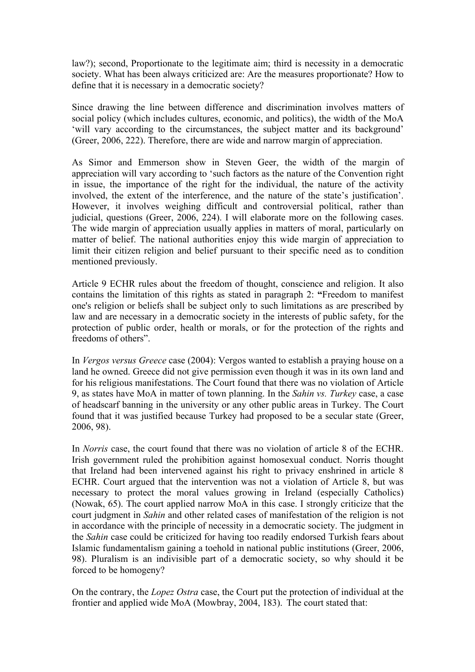law?); second, Proportionate to the legitimate aim; third is necessity in a democratic society. What has been always criticized are: Are the measures proportionate? How to define that it is necessary in a democratic society?

Since drawing the line between difference and discrimination involves matters of social policy (which includes cultures, economic, and politics), the width of the MoA 'will vary according to the circumstances, the subject matter and its background' (Greer, 2006, 222). Therefore, there are wide and narrow margin of appreciation.

As Simor and Emmerson show in Steven Geer, the width of the margin of appreciation will vary according to 'such factors as the nature of the Convention right in issue, the importance of the right for the individual, the nature of the activity involved, the extent of the interference, and the nature of the state's justification'. However, it involves weighing difficult and controversial political, rather than judicial, questions (Greer, 2006, 224). I will elaborate more on the following cases. The wide margin of appreciation usually applies in matters of moral, particularly on matter of belief. The national authorities enjoy this wide margin of appreciation to limit their citizen religion and belief pursuant to their specific need as to condition mentioned previously.

Article 9 ECHR rules about the freedom of thought, conscience and religion. It also contains the limitation of this rights as stated in paragraph 2: **"**Freedom to manifest one's religion or beliefs shall be subject only to such limitations as are prescribed by law and are necessary in a democratic society in the interests of public safety, for the protection of public order, health or morals, or for the protection of the rights and freedoms of others".

In *Vergos versus Greece* case (2004): Vergos wanted to establish a praying house on a land he owned. Greece did not give permission even though it was in its own land and for his religious manifestations. The Court found that there was no violation of Article 9, as states have MoA in matter of town planning. In the *Sahin vs. Turkey* case, a case of headscarf banning in the university or any other public areas in Turkey. The Court found that it was justified because Turkey had proposed to be a secular state (Greer, 2006, 98).

In *Norris* case, the court found that there was no violation of article 8 of the ECHR. Irish government ruled the prohibition against homosexual conduct. Norris thought that Ireland had been intervened against his right to privacy enshrined in article 8 ECHR. Court argued that the intervention was not a violation of Article 8, but was necessary to protect the moral values growing in Ireland (especially Catholics) (Nowak, 65). The court applied narrow MoA in this case. I strongly criticize that the court judgment in *Sahin* and other related cases of manifestation of the religion is not in accordance with the principle of necessity in a democratic society. The judgment in the *Sahin* case could be criticized for having too readily endorsed Turkish fears about Islamic fundamentalism gaining a toehold in national public institutions (Greer, 2006, 98). Pluralism is an indivisible part of a democratic society, so why should it be forced to be homogeny?

On the contrary, the *Lopez Ostra* case, the Court put the protection of individual at the frontier and applied wide MoA (Mowbray, 2004, 183). The court stated that: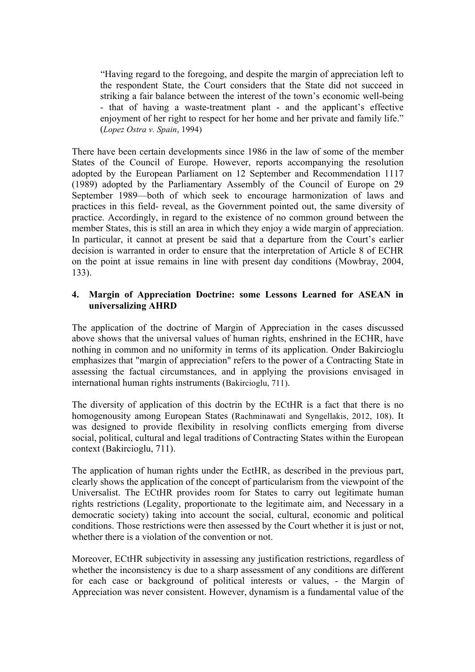"Having regard to the foregoing, and despite the margin of appreciation left to the respondent State, the Court considers that the State did not succeed in striking a fair balance between the interest of the town's economic well-being - that of having a waste-treatment plant - and the applicant's effective enjoyment of her right to respect for her home and her private and family life." (*Lopez Ostra v. Spain*, 1994)

There have been certain developments since 1986 in the law of some of the member States of the Council of Europe. However, reports accompanying the resolution adopted by the European Parliament on 12 September and Recommendation 1117 (1989) adopted by the Parliamentary Assembly of the Council of Europe on 29 September 1989—both of which seek to encourage harmonization of laws and practices in this field- reveal, as the Government pointed out, the same diversity of practice. Accordingly, in regard to the existence of no common ground between the member States, this is still an area in which they enjoy a wide margin of appreciation. In particular, it cannot at present be said that a departure from the Court's earlier decision is warranted in order to ensure that the interpretation of Article 8 of ECHR on the point at issue remains in line with present day conditions (Mowbray, 2004, 133).

# **4. Margin of Appreciation Doctrine: some Lessons Learned for ASEAN in universalizing AHRD**

The application of the doctrine of Margin of Appreciation in the cases discussed above shows that the universal values of human rights, enshrined in the ECHR, have nothing in common and no uniformity in terms of its application. Onder Bakircioglu emphasizes that "margin of appreciation" refers to the power of a Contracting State in assessing the factual circumstances, and in applying the provisions envisaged in international human rights instruments (Bakircioglu, 711).

The diversity of application of this doctrin by the ECtHR is a fact that there is no homogenousity among European States (Rachminawati and Syngellakis, 2012, 108). It was designed to provide flexibility in resolving conflicts emerging from diverse social, political, cultural and legal traditions of Contracting States within the European context (Bakircioglu, 711).

The application of human rights under the EctHR, as described in the previous part, clearly shows the application of the concept of particularism from the viewpoint of the Universalist. The ECtHR provides room for States to carry out legitimate human rights restrictions (Legality, proportionate to the legitimate aim, and Necessary in a democratic society) taking into account the social, cultural, economic and political conditions. Those restrictions were then assessed by the Court whether it is just or not, whether there is a violation of the convention or not.

Moreover, ECtHR subjectivity in assessing any justification restrictions, regardless of whether the inconsistency is due to a sharp assessment of any conditions are different for each case or background of political interests or values, - the Margin of Appreciation was never consistent. However, dynamism is a fundamental value of the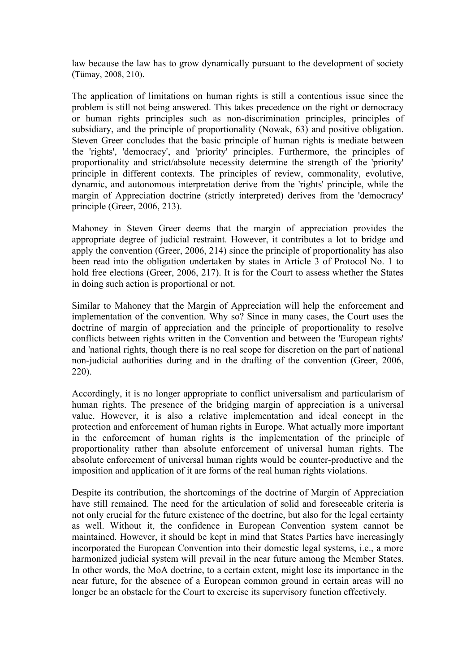law because the law has to grow dynamically pursuant to the development of society (Tümay, 2008, 210).

The application of limitations on human rights is still a contentious issue since the problem is still not being answered. This takes precedence on the right or democracy or human rights principles such as non-discrimination principles, principles of subsidiary, and the principle of proportionality (Nowak, 63) and positive obligation. Steven Greer concludes that the basic principle of human rights is mediate between the 'rights', 'democracy', and 'priority' principles. Furthermore, the principles of proportionality and strict/absolute necessity determine the strength of the 'priority' principle in different contexts. The principles of review, commonality, evolutive, dynamic, and autonomous interpretation derive from the 'rights' principle, while the margin of Appreciation doctrine (strictly interpreted) derives from the 'democracy' principle (Greer, 2006, 213).

Mahoney in Steven Greer deems that the margin of appreciation provides the appropriate degree of judicial restraint. However, it contributes a lot to bridge and apply the convention (Greer, 2006, 214) since the principle of proportionality has also been read into the obligation undertaken by states in Article 3 of Protocol No. 1 to hold free elections (Greer, 2006, 217). It is for the Court to assess whether the States in doing such action is proportional or not.

Similar to Mahoney that the Margin of Appreciation will help the enforcement and implementation of the convention. Why so? Since in many cases, the Court uses the doctrine of margin of appreciation and the principle of proportionality to resolve conflicts between rights written in the Convention and between the 'European rights' and 'national rights, though there is no real scope for discretion on the part of national non-judicial authorities during and in the drafting of the convention (Greer, 2006, 220).

Accordingly, it is no longer appropriate to conflict universalism and particularism of human rights. The presence of the bridging margin of appreciation is a universal value. However, it is also a relative implementation and ideal concept in the protection and enforcement of human rights in Europe. What actually more important in the enforcement of human rights is the implementation of the principle of proportionality rather than absolute enforcement of universal human rights. The absolute enforcement of universal human rights would be counter-productive and the imposition and application of it are forms of the real human rights violations.

Despite its contribution, the shortcomings of the doctrine of Margin of Appreciation have still remained. The need for the articulation of solid and foreseeable criteria is not only crucial for the future existence of the doctrine, but also for the legal certainty as well. Without it, the confidence in European Convention system cannot be maintained. However, it should be kept in mind that States Parties have increasingly incorporated the European Convention into their domestic legal systems, i.e., a more harmonized judicial system will prevail in the near future among the Member States. In other words, the MoA doctrine, to a certain extent, might lose its importance in the near future, for the absence of a European common ground in certain areas will no longer be an obstacle for the Court to exercise its supervisory function effectively.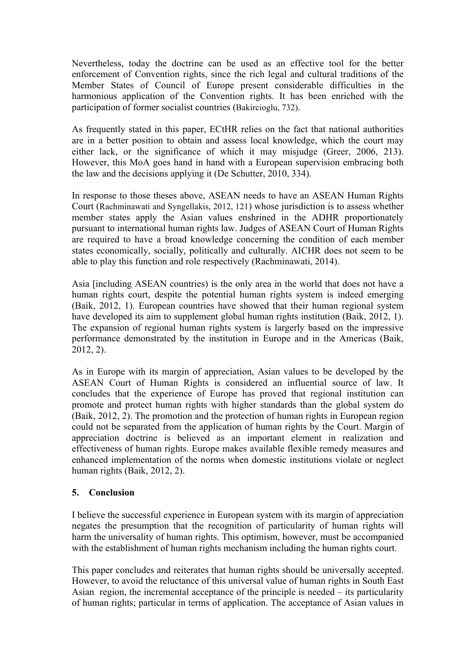Nevertheless, today the doctrine can be used as an effective tool for the better enforcement of Convention rights, since the rich legal and cultural traditions of the Member States of Council of Europe present considerable difficulties in the harmonious application of the Convention rights. It has been enriched with the participation of former socialist countries (Bakircioglu, 732).

As frequently stated in this paper, ECtHR relies on the fact that national authorities are in a better position to obtain and assess local knowledge, which the court may either lack, or the significance of which it may misjudge (Greer, 2006, 213). However, this MoA goes hand in hand with a European supervision embracing both the law and the decisions applying it (De Schutter, 2010, 334).

In response to those theses above, ASEAN needs to have an ASEAN Human Rights Court (Rachminawati and Syngellakis, 2012, 121) whose jurisdiction is to assess whether member states apply the Asian values enshrined in the ADHR proportionately pursuant to international human rights law. Judges of ASEAN Court of Human Rights are required to have a broad knowledge concerning the condition of each member states economically, socially, politically and culturally. AICHR does not seem to be able to play this function and role respectively (Rachminawati, 2014).

Asia [including ASEAN countries) is the only area in the world that does not have a human rights court, despite the potential human rights system is indeed emerging (Baik, 2012, 1). European countries have showed that their human regional system have developed its aim to supplement global human rights institution (Baik, 2012, 1). The expansion of regional human rights system is largerly based on the impressive performance demonstrated by the institution in Europe and in the Americas (Baik, 2012, 2).

As in Europe with its margin of appreciation, Asian values to be developed by the ASEAN Court of Human Rights is considered an influential source of law. It concludes that the experience of Europe has proved that regional institution can promote and protect human rights with higher standards than the global system do (Baik, 2012, 2). The promotion and the protection of human rights in European region could not be separated from the application of human rights by the Court. Margin of appreciation doctrine is believed as an important element in realization and effectiveness of human rights. Europe makes available flexible remedy measures and enhanced implementation of the norms when domestic institutions violate or neglect human rights (Baik, 2012, 2).

# **5. Conclusion**

I believe the successful experience in European system with its margin of appreciation negates the presumption that the recognition of particularity of human rights will harm the universality of human rights. This optimism, however, must be accompanied with the establishment of human rights mechanism including the human rights court.

This paper concludes and reiterates that human rights should be universally accepted. However, to avoid the reluctance of this universal value of human rights in South East Asian region, the incremental acceptance of the principle is needed – its particularity of human rights; particular in terms of application. The acceptance of Asian values in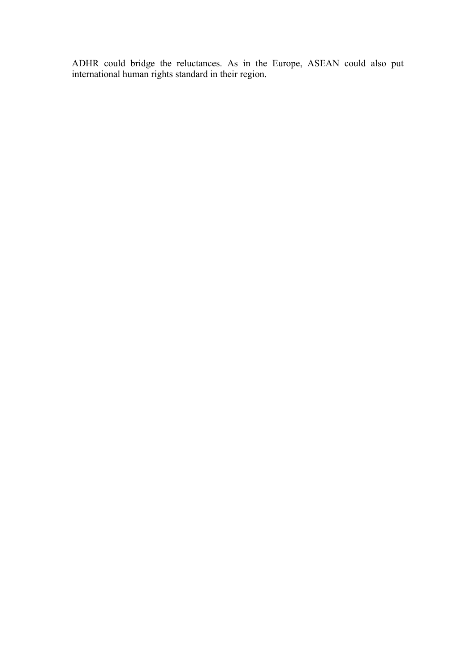ADHR could bridge the reluctances. As in the Europe, ASEAN could also put international human rights standard in their region.